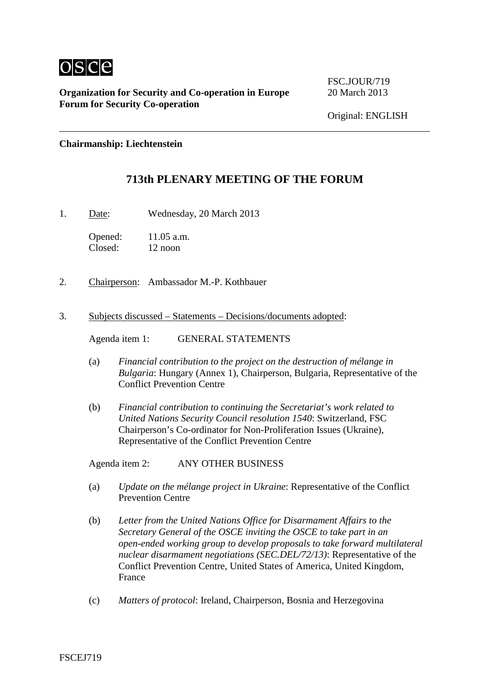

**Organization for Security and Co-operation in Europe** 20 March 2013 **Forum for Security Co-operation**

FSC.JOUR/719

**Chairmanship: Liechtenstein**

## **713th PLENARY MEETING OF THE FORUM**

1. Date: Wednesday, 20 March 2013

Opened: 11.05 a.m. Closed: 12 noon

- 2. Chairperson: Ambassador M.-P. Kothbauer
- 3. Subjects discussed Statements Decisions/documents adopted:

Agenda item 1: GENERAL STATEMENTS

- (a) *Financial contribution to the project on the destruction of mélange in Bulgaria*: Hungary (Annex 1), Chairperson, Bulgaria, Representative of the Conflict Prevention Centre
- (b) *Financial contribution to continuing the Secretariat's work related to United Nations Security Council resolution 1540*: Switzerland, FSC Chairperson's Co-ordinator for Non-Proliferation Issues (Ukraine), Representative of the Conflict Prevention Centre

Agenda item 2: ANY OTHER BUSINESS

- (a) *Update on the mélange project in Ukraine*: Representative of the Conflict Prevention Centre
- (b) *Letter from the United Nations Office for Disarmament Affairs to the Secretary General of the OSCE inviting the OSCE to take part in an open-ended working group to develop proposals to take forward multilateral nuclear disarmament negotiations (SEC.DEL/72/13)*: Representative of the Conflict Prevention Centre, United States of America, United Kingdom, France
- (c) *Matters of protocol*: Ireland, Chairperson, Bosnia and Herzegovina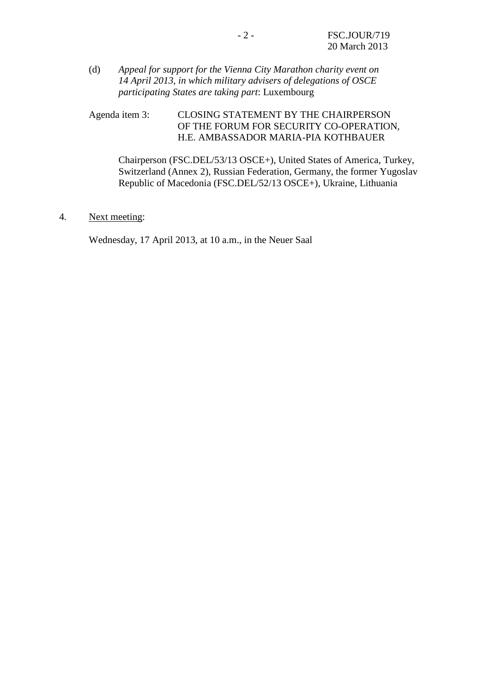(d) *Appeal for support for the Vienna City Marathon charity event on 14 April 2013, in which military advisers of delegations of OSCE participating States are taking part*: Luxembourg

Agenda item 3: CLOSING STATEMENT BY THE CHAIRPERSON OF THE FORUM FOR SECURITY CO-OPERATION, H.E. AMBASSADOR MARIA-PIA KOTHBAUER

Chairperson (FSC.DEL/53/13 OSCE+), United States of America, Turkey, Switzerland (Annex 2), Russian Federation, Germany, the former Yugoslav Republic of Macedonia (FSC.DEL/52/13 OSCE+), Ukraine, Lithuania

4. Next meeting:

Wednesday, 17 April 2013, at 10 a.m., in the Neuer Saal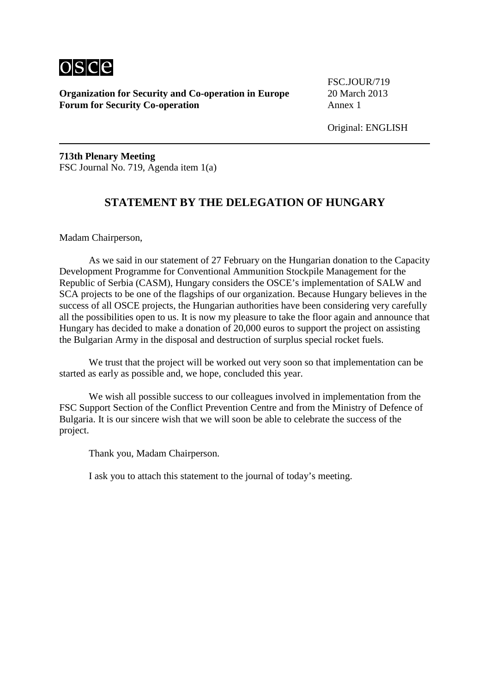

**Organization for Security and Co-operation in Europe** 20 March 2013 **Forum for Security Co-operation** Annex 1

FSC.JOUR/719

**713th Plenary Meeting** FSC Journal No. 719, Agenda item 1(a)

## **STATEMENT BY THE DELEGATION OF HUNGARY**

Madam Chairperson,

As we said in our statement of 27 February on the Hungarian donation to the Capacity Development Programme for Conventional Ammunition Stockpile Management for the Republic of Serbia (CASM), Hungary considers the OSCE's implementation of SALW and SCA projects to be one of the flagships of our organization. Because Hungary believes in the success of all OSCE projects, the Hungarian authorities have been considering very carefully all the possibilities open to us. It is now my pleasure to take the floor again and announce that Hungary has decided to make a donation of 20,000 euros to support the project on assisting the Bulgarian Army in the disposal and destruction of surplus special rocket fuels.

We trust that the project will be worked out very soon so that implementation can be started as early as possible and, we hope, concluded this year.

We wish all possible success to our colleagues involved in implementation from the FSC Support Section of the Conflict Prevention Centre and from the Ministry of Defence of Bulgaria. It is our sincere wish that we will soon be able to celebrate the success of the project.

Thank you, Madam Chairperson.

I ask you to attach this statement to the journal of today's meeting.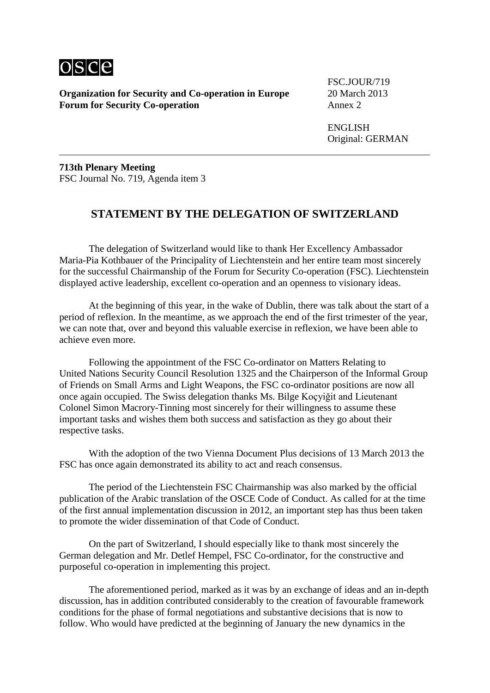

**Organization for Security and Co-operation in Europe** 20 March 2013 **Forum for Security Co-operation** Annex 2

FSC.JOUR/719

ENGLISH Original: GERMAN

**713th Plenary Meeting** FSC Journal No. 719, Agenda item 3

## **STATEMENT BY THE DELEGATION OF SWITZERLAND**

The delegation of Switzerland would like to thank Her Excellency Ambassador Maria-Pia Kothbauer of the Principality of Liechtenstein and her entire team most sincerely for the successful Chairmanship of the Forum for Security Co-operation (FSC). Liechtenstein displayed active leadership, excellent co-operation and an openness to visionary ideas.

At the beginning of this year, in the wake of Dublin, there was talk about the start of a period of reflexion. In the meantime, as we approach the end of the first trimester of the year, we can note that, over and beyond this valuable exercise in reflexion, we have been able to achieve even more.

Following the appointment of the FSC Co-ordinator on Matters Relating to United Nations Security Council Resolution 1325 and the Chairperson of the Informal Group of Friends on Small Arms and Light Weapons, the FSC co-ordinator positions are now all once again occupied. The Swiss delegation thanks Ms. Bilge Koçyiğit and Lieutenant Colonel Simon Macrory-Tinning most sincerely for their willingness to assume these important tasks and wishes them both success and satisfaction as they go about their respective tasks.

With the adoption of the two Vienna Document Plus decisions of 13 March 2013 the FSC has once again demonstrated its ability to act and reach consensus.

The period of the Liechtenstein FSC Chairmanship was also marked by the official publication of the Arabic translation of the OSCE Code of Conduct. As called for at the time of the first annual implementation discussion in 2012, an important step has thus been taken to promote the wider dissemination of that Code of Conduct.

On the part of Switzerland, I should especially like to thank most sincerely the German delegation and Mr. Detlef Hempel, FSC Co-ordinator, for the constructive and purposeful co-operation in implementing this project.

The aforementioned period, marked as it was by an exchange of ideas and an in-depth discussion, has in addition contributed considerably to the creation of favourable framework conditions for the phase of formal negotiations and substantive decisions that is now to follow. Who would have predicted at the beginning of January the new dynamics in the